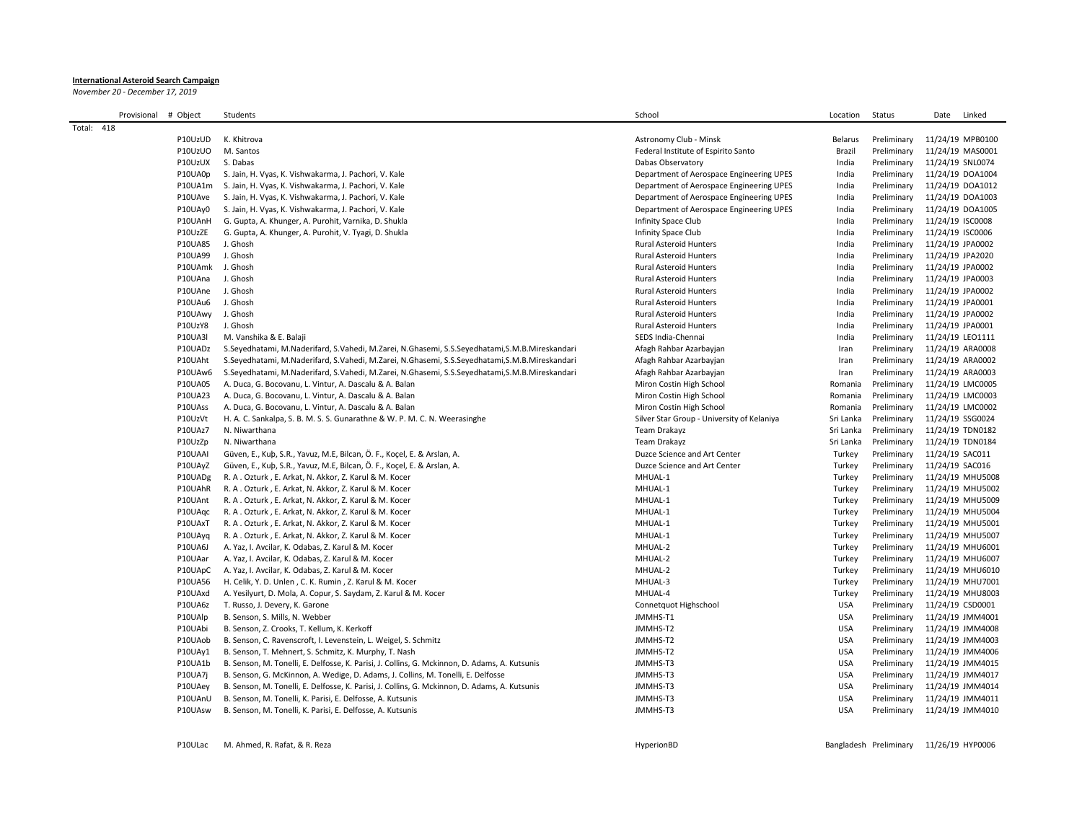## **International Asteroid Search Campaign**

*November 20 - December 17, 2019*

|            | Provisional | # Object         | Students                                                                                       | School                                     | Location       | Status      | Linked<br>Date   |
|------------|-------------|------------------|------------------------------------------------------------------------------------------------|--------------------------------------------|----------------|-------------|------------------|
| Total: 418 |             |                  |                                                                                                |                                            |                |             |                  |
|            |             | P10UzUD          | K. Khitrova                                                                                    | Astronomy Club - Minsk                     | <b>Belarus</b> | Preliminary | 11/24/19 MPB0100 |
|            |             | P10UzUO          | M. Santos                                                                                      | Federal Institute of Espirito Santo        | Brazil         | Preliminary | 11/24/19 MAS0001 |
|            |             | P10UzUX          | S. Dabas                                                                                       | Dabas Observatory                          | India          | Preliminary | 11/24/19 SNL0074 |
|            |             | P10UA0p          | S. Jain, H. Vyas, K. Vishwakarma, J. Pachori, V. Kale                                          | Department of Aerospace Engineering UPES   | India          | Preliminary | 11/24/19 DOA1004 |
|            |             |                  | P10UA1m S. Jain, H. Vyas, K. Vishwakarma, J. Pachori, V. Kale                                  | Department of Aerospace Engineering UPES   | India          | Preliminary | 11/24/19 DOA1012 |
|            |             | P10UAve          | S. Jain, H. Vyas, K. Vishwakarma, J. Pachori, V. Kale                                          | Department of Aerospace Engineering UPES   | India          | Preliminary | 11/24/19 DOA1003 |
|            |             | P10UAy0          | S. Jain, H. Vyas, K. Vishwakarma, J. Pachori, V. Kale                                          | Department of Aerospace Engineering UPES   | India          | Preliminary | 11/24/19 DOA1005 |
|            |             | P10UAnH          | G. Gupta, A. Khunger, A. Purohit, Varnika, D. Shukla                                           | Infinity Space Club                        | India          | Preliminary | 11/24/19 ISC0008 |
|            |             | P10UzZE          | G. Gupta, A. Khunger, A. Purohit, V. Tyagi, D. Shukla                                          | Infinity Space Club                        | India          | Preliminary | 11/24/19 ISC0006 |
|            |             | <b>P10UA85</b>   | J. Ghosh                                                                                       | <b>Rural Asteroid Hunters</b>              | India          | Preliminary | 11/24/19 JPA0002 |
|            |             | P10UA99          | J. Ghosh                                                                                       | <b>Rural Asteroid Hunters</b>              | India          | Preliminary | 11/24/19 JPA2020 |
|            |             | P10UAmk J. Ghosh |                                                                                                | <b>Rural Asteroid Hunters</b>              | India          | Preliminary | 11/24/19 JPA0002 |
|            |             | P10UAna          | J. Ghosh                                                                                       | <b>Rural Asteroid Hunters</b>              | India          | Preliminary | 11/24/19 JPA0003 |
|            |             | P10UAne          | J. Ghosh                                                                                       | <b>Rural Asteroid Hunters</b>              | India          | Preliminary | 11/24/19 JPA0002 |
|            |             | P10UAu6          | J. Ghosh                                                                                       | Rural Asteroid Hunters                     | India          | Preliminary | 11/24/19 JPA0001 |
|            |             | P10UAwy          | J. Ghosh                                                                                       | <b>Rural Asteroid Hunters</b>              | India          | Preliminary | 11/24/19 JPA0002 |
|            |             | P10UzY8          | J. Ghosh                                                                                       | <b>Rural Asteroid Hunters</b>              | India          | Preliminary | 11/24/19 JPA0001 |
|            |             | <b>P10UA3I</b>   | M. Vanshika & E. Balaji                                                                        | SEDS India-Chennai                         | India          | Preliminary | 11/24/19 LEO1111 |
|            |             | P10UADz          | S.Seyedhatami, M.Naderifard, S.Vahedi, M.Zarei, N.Ghasemi, S.S.Seyedhatami, S.M.B.Mireskandari | Afagh Rahbar Azarbayjan                    | Iran           | Preliminary | 11/24/19 ARA0008 |
|            |             | P10UAht          | S.Seyedhatami, M.Naderifard, S.Vahedi, M.Zarei, N.Ghasemi, S.S.Seyedhatami, S.M.B.Mireskandari | Afagh Rahbar Azarbayjan                    | Iran           | Preliminary | 11/24/19 ARA0002 |
|            |             | P10UAw6          | S.Seyedhatami, M.Naderifard, S.Vahedi, M.Zarei, N.Ghasemi, S.S.Seyedhatami, S.M.B.Mireskandari | Afagh Rahbar Azarbayjan                    | Iran           | Preliminary | 11/24/19 ARA0003 |
|            |             | P10UA05          | A. Duca, G. Bocovanu, L. Vintur, A. Dascalu & A. Balan                                         | Miron Costin High School                   | Romania        | Preliminary | 11/24/19 LMC0005 |
|            |             | P10UA23          | A. Duca, G. Bocovanu, L. Vintur, A. Dascalu & A. Balan                                         | Miron Costin High School                   | Romania        | Preliminary | 11/24/19 LMC0003 |
|            |             | P10UAss          | A. Duca, G. Bocovanu, L. Vintur, A. Dascalu & A. Balan                                         | Miron Costin High School                   | Romania        | Preliminary | 11/24/19 LMC0002 |
|            |             | P10UzVt          | H. A. C. Sankalpa, S. B. M. S. S. Gunarathne & W. P. M. C. N. Weerasinghe                      | Silver Star Group - University of Kelaniya | Sri Lanka      | Preliminary | 11/24/19 SSG0024 |
|            |             | P10UAz7          | N. Niwarthana                                                                                  | Team Drakayz                               | Sri Lanka      | Preliminary | 11/24/19 TDN0182 |
|            |             | P10UzZp          | N. Niwarthana                                                                                  | Team Drakayz                               | Sri Lanka      | Preliminary | 11/24/19 TDN0184 |
|            |             | P10UAAI          | Güven, E., Kub, S.R., Yavuz, M.E, Bilcan, Ö. F., Kocel, E. & Arslan, A.                        | Duzce Science and Art Center               | Turkey         | Preliminary | 11/24/19 SAC011  |
|            |             | P10UAyZ          | Güven, E., Kub, S.R., Yavuz, M.E, Bilcan, Ö. F., Koçel, E. & Arslan, A.                        | Duzce Science and Art Center               | Turkey         | Preliminary | 11/24/19 SAC016  |
|            |             | P10UADg          | R. A. Ozturk, E. Arkat, N. Akkor, Z. Karul & M. Kocer                                          | MHUAL-1                                    | Turkey         | Preliminary | 11/24/19 MHU5008 |
|            |             | P10UAhR          | R. A. Ozturk, E. Arkat, N. Akkor, Z. Karul & M. Kocer                                          | MHUAL-1                                    | Turkey         | Preliminary | 11/24/19 MHU5002 |
|            |             | P10UAnt          | R. A. Ozturk, E. Arkat, N. Akkor, Z. Karul & M. Kocer                                          | MHUAL-1                                    | Turkey         | Preliminary | 11/24/19 MHU5009 |
|            |             | P10UAqc          | R. A. Ozturk, E. Arkat, N. Akkor, Z. Karul & M. Kocer                                          | MHUAL-1                                    | Turkey         | Preliminary | 11/24/19 MHU5004 |
|            |             | P10UAxT          | R. A. Ozturk, E. Arkat, N. Akkor, Z. Karul & M. Kocer                                          | MHUAL-1                                    | Turkey         | Preliminary | 11/24/19 MHU5001 |
|            |             | P10UAyq          | R. A. Ozturk, E. Arkat, N. Akkor, Z. Karul & M. Kocer                                          | MHUAL-1                                    | Turkey         | Preliminary | 11/24/19 MHU5007 |
|            |             | <b>P10UA6J</b>   | A. Yaz, I. Avcilar, K. Odabas, Z. Karul & M. Kocer                                             | MHUAL-2                                    | Turkey         | Preliminary | 11/24/19 MHU6001 |
|            |             | P10UAar          | A. Yaz, I. Avcilar, K. Odabas, Z. Karul & M. Kocer                                             | MHUAL-2                                    | Turkey         | Preliminary | 11/24/19 MHU6007 |
|            |             | P10UApC          | A. Yaz, I. Avcilar, K. Odabas, Z. Karul & M. Kocer                                             | MHUAL-2                                    | Turkey         | Preliminary | 11/24/19 MHU6010 |
|            |             | <b>P10UA56</b>   | H. Celik, Y. D. Unlen, C. K. Rumin, Z. Karul & M. Kocer                                        | MHUAL-3                                    | Turkey         | Preliminary | 11/24/19 MHU7001 |
|            |             | P10UAxd          | A. Yesilyurt, D. Mola, A. Copur, S. Saydam, Z. Karul & M. Kocer                                | MHUAL-4                                    | Turkey         | Preliminary | 11/24/19 MHU8003 |
|            |             | P10UA6z          | T. Russo, J. Devery, K. Garone                                                                 | Connetquot Highschool                      | <b>USA</b>     | Preliminary | 11/24/19 CSD0001 |
|            |             | P10UAlp          | B. Senson, S. Mills, N. Webber                                                                 | JMMHS-T1                                   | <b>USA</b>     | Preliminary | 11/24/19 JMM4001 |
|            |             | P10UAbi          | B. Senson, Z. Crooks, T. Kellum, K. Kerkoff                                                    | JMMHS-T2                                   | <b>USA</b>     | Preliminary | 11/24/19 JMM4008 |
|            |             | P10UAob          | B. Senson, C. Ravenscroft, I. Levenstein, L. Weigel, S. Schmitz                                | JMMHS-T2                                   | <b>USA</b>     | Preliminary | 11/24/19 JMM4003 |
|            |             | P10UAy1          | B. Senson, T. Mehnert, S. Schmitz, K. Murphy, T. Nash                                          | JMMHS-T2                                   | <b>USA</b>     | Preliminary | 11/24/19 JMM4006 |
|            |             | P10UA1b          | B. Senson, M. Tonelli, E. Delfosse, K. Parisi, J. Collins, G. Mckinnon, D. Adams, A. Kutsunis  | JMMHS-T3                                   | <b>USA</b>     | Preliminary | 11/24/19 JMM4015 |
|            |             | <b>P10UA7j</b>   | B. Senson, G. McKinnon, A. Wedige, D. Adams, J. Collins, M. Tonelli, E. Delfosse               | JMMHS-T3                                   | <b>USA</b>     | Preliminary | 11/24/19 JMM4017 |
|            |             | P10UAey          | B. Senson, M. Tonelli, E. Delfosse, K. Parisi, J. Collins, G. Mckinnon, D. Adams, A. Kutsunis  | JMMHS-T3                                   | <b>USA</b>     | Preliminary | 11/24/19 JMM4014 |
|            |             | P10UAnU          | B. Senson, M. Tonelli, K. Parisi, E. Delfosse, A. Kutsunis                                     | JMMHS-T3                                   | <b>USA</b>     | Preliminary | 11/24/19 JMM4011 |
|            |             | P10UAsw          | B. Senson, M. Tonelli, K. Parisi, E. Delfosse, A. Kutsunis                                     | JMMHS-T3                                   | <b>USA</b>     | Preliminary | 11/24/19 JMM4010 |
|            |             |                  |                                                                                                |                                            |                |             |                  |

P10ULac M. Ahmed, R. Rafat, & R. Reza Reca Recassion Bangladesh Preliminary 11/26/19 HyperionBD Bangladesh Preliminary 11/26/19 HYP0006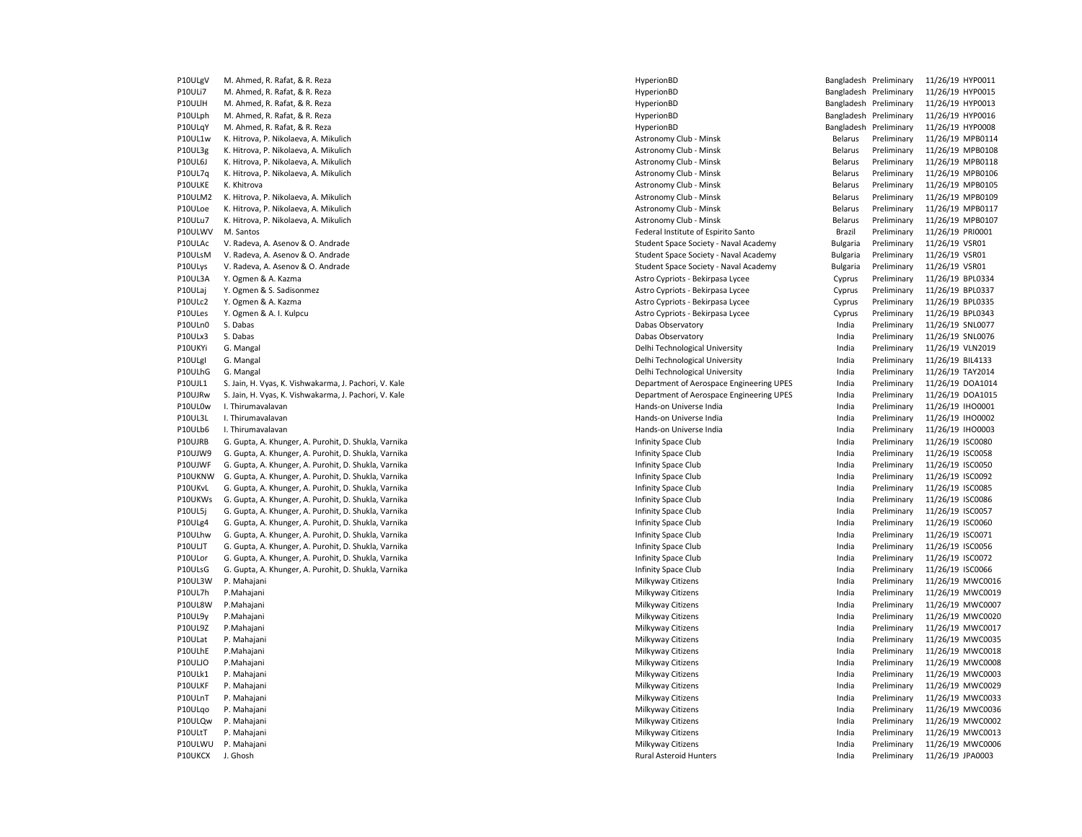P10ULgV M. Ahmed, R. Rafat, & R. Reza HyperionBD Bangladesh Preliminary 11/26/19 HYP0011 P10ULi7 M. Ahmed, R. Rafat, & R. Reza HyperionBD Bangladesh Preliminary 11/26/19 HYP0015 P10ULlH M. Ahmed, R. Rafat, & R. Reza HyperionBD Bangladesh Preliminary 11/26/19 HYP0013 P10ULph M. Ahmed, R. Rafat, & R. Reza **HyperionBD** Bangladesh Preliminary 11/26/19 HYP0016 P10ULqY M. Ahmed, R. Rafat, & R. Reza **HyperionBD** HyperionBD HyperionBD Bangladesh Preliminary 11/26/19 HYP0008 P10UL1w K. Hitrova, P. Nikolaeva, A. Mikulich Astronomy Club - Minsk Astronomy Club - Minsk Belarus Preliminary 11/26/19 MPB0114 P10UL3g K. Hitrova, P. Nikolaeva, A. Mikulich Astronomy Club - Minsk Belarus Preliminary 11/26/19 MPB0108 P10UL6J K. Hitrova, P. Nikolaeva, A. Mikulich Astronomy Club - Minsk Astronomy Club - Minsk Belarus Preliminary 11/26/19 MPB0118 P10UL7q K. Hitrova, P. Nikolaeva, A. Mikulich Astronomy Club - Minsk Astronomy Club - Minsk Belarus Preliminary 11/26/19 MPB0106 P10ULKE K. Khitrova **Astronomy Club - Minsk Belarus Preliminary 11/26/19 MPB0105** P10ULM2 K. Hitrova, P. Nikolaeva, A. Mikulich Astronomy Club - Minsk Astronomy Club - Minsk Belarus Preliminary 11/26/19 MPB0109 P10ULoe K. Hitrova, P. Nikolaeva, A. Mikulich Astronomy Club - Minsk Astronomy Club - Minsk Belarus Preliminary 11/26/19 MPB0117 P10ULu7 K. Hitrova, P. Nikolaeva, A. Mikulich Astronomy Club - Minsk Astronomy Club - Minsk Belarus Preliminary 11/26/19 MPB0107 P10ULWV M. Santos Federal Institute of Espirito Santo Brazil Preliminary 11/26/19 PRI0001 P10ULAc V. Radeva, A. Asenov & O. Andrade Student Space Society - Naval Academy Student Space Society - Naval Academy Bulgaria Preliminary 11/26/19 VSR01 P10ULsM V. Radeva, A. Asenov & O. Andrade Student Space Society - Naval Academy Student Space Society - Naval Academy Sulgaria Preliminary 11/26/19 VSR01 P10ULys V. Radeva, A. Asenov & O. Andrade Student Space Society - Naval Academy Student Space Society - Naval Academy Sulgaria Preliminary 11/26/19 VSR01 P10UL3A Y. Ogmen & A. Kazma **Astro Cypriots - Bekirpasa Lycee** Cyprus Preliminary 11/26/19 BPL0334 P10ULaj Y. Ogmen & S. Sadisonmez Astro Cypriots - Bekirpasa Lycee Cyprus Preliminary 11/26/19 BPL0337 P10ULc2 Y. Ogmen & A. Kazma **Astro Cypriots - Bekirpasa Lycee** Cypriots - Bekirpasa Lycee Cyprus Preliminary 11/26/19 BPL0335 P10ULes Y. Ogmen & A. I. Kulpcu Astro Cypriots - Bekirpasa Lycee Cyprus Preliminary 11/26/19 BPL0343 P10ULn0 S. Dabas Dabas Observatory India Preliminary 11/26/19 SNL0077 P10ULx3 S. Dabas Dabas Observatory India Preliminary 11/26/19 SNL0076 P10UKYi G. Mangal Delhi Technological University India Preliminary 11/26/19 VLN2019 P10ULgI G. Mangal Delhi Technological University India Preliminary 11/26/19 BIL4133 P10ULhG G. Mangal Delhi Technological University India Preliminary 11/26/19 TAY2014 P10UJL1 S. Jain, H. Vyas, K. Vishwakarma, J. Pachori, V. Kale Department of Aerospace Engineering UPES India Preliminary 11/26/19 DOA1014 P10UJRw S. Jain, H. Vyas, K. Vishwakarma, J. Pachori, V. Kale **Department of Aerospace Engineering UPES** India Preliminary 11/26/19 DOA1015 P10UL0w I. Thirumavalavan Hands-on Universe India India Preliminary 11/26/19 IHO0001 P10UL3L I. Thirumavalavan 2012/0/19 IHO0002 Pands-on Universe India Hands-on Universe India Preliminary 11/26/19 IHO0002 P10ULb6 I. Thirumavalavan Maximia and the second term in the second of the Hands-on Universe India Maximia India Preliminary 11/26/19 IHO0003 P10UJRB G. Gupta, A. Khunger, A. Purohit, D. Shukla, Varnika Intinity Space Club Infinity Space Club India Preliminary 11/26/19 ISC0080 P10UJW9 G. Gupta, A. Khunger, A. Purohit, D. Shukla, Varnika Intinity Space Club Infinity Space Club India Preliminary 11/26/19 ISC0058 P10UJWF G. Gupta, A. Khunger, A. Purohit, D. Shukla, Varnika Intinity Space Club Infinity Space Club India Preliminary 11/26/19 ISC0050 P10UKNW G. Gupta, A. Khunger, A. Purohit, D. Shukla, Varnika Intinity Space Club Infinity Space Club India Preliminary 11/26/19 ISC0092 P10UKvL G. Gupta, A. Khunger, A. Purohit, D. Shukla, Varnika Intinity Space Club Infinity Space Club India Preliminary 11/26/19 ISC0085 P10UKWs G. Gupta, A. Khunger, A. Purohit, D. Shukla, Varnika International India Preliminary 11/26/19 ISC0086 P10UL5j G. Gupta, A. Khunger, A. Purohit, D. Shukla, Varnika Intinity Space Club Infinity Space Club India Preliminary 11/26/19 ISC0057 P10ULg4 G. Gupta, A. Khunger, A. Purohit, D. Shukla, Varnika Intinity Space Club Infinity Space Club India Preliminary 11/26/19 ISC0060 P10ULhw G. Gupta, A. Khunger, A. Purohit, D. Shukla, Varnika Infinity Space Club Infinity Space Club India Preliminary 11/26/19 ISC0071 P10ULJT G. Gupta, A. Khunger, A. Purohit, D. Shukla, Varnika International Christense and Christopher Schuber, A. Purohit, D. Shukla, Varnika India Infinity Space Club Infinity Space Club India Preliminary 11/26/19 ISC0072 P10ULor G. Gupta, A. Khunger, A. Purohit, D. Shukla, Varnika Infinity Space Club Infinity Space Club India Preliminary P10ULsG G. Gupta, A. Khunger, A. Purohit, D. Shukla, Varnika Intinity Space Club Infinity Space Club India Preliminary 11/26/19 ISC0066 P10UL3W P. Mahajani Milkyway Citizens India Preliminary 11/26/19 MWC0016 P10UL7h P.Mahajani Milkyway Citizens India Preliminary 11/26/19 MWC0019 P10UL8W P.Mahajani Milkyway Citizens India Preliminary 11/26/19 MWC0007 P10UL9y P.Mahajani Milkyway Citizens India Preliminary 11/26/19 MWC0020 P10UL9Z P.Mahajani Milkyway Citizens India Preliminary 11/26/19 MWC0017 P10ULat P. Mahajani Milkyway Citizens India Preliminary 11/26/19 MWC0035 P10ULhE P.Mahajani Milkyway Citizens India Preliminary 11/26/19 MWC0018 P10ULJO P.Mahajani Milkyway Citizens India Preliminary 11/26/19 MWC0008 P10ULk1 P. Mahajani Milkyway Citizens India Preliminary 11/26/19 MWC0003 P10ULKF P. Mahajani Milkyway Citizens India Preliminary 11/26/19 MWC0029 P10ULnT P. Mahajani Milkyway Citizens India Preliminary 11/26/19 MWC0033 P10ULqo P. Mahajani Milkyway Citizens India Preliminary 11/26/19 MWC0036 P10ULQw P. Mahajani Milkyway Citizens India Preliminary 11/26/19 MWC0002 P10ULtT P. Mahajani Milkyway Citizens India Preliminary 11/26/19 MWC0013 P10ULWU P. Mahajani Milkyway Citizens India Preliminary 11/26/19 MWC0006 P10UKCX J. Ghosh Rural Asteroid Hunters India Preliminary 11/26/19 JPA0003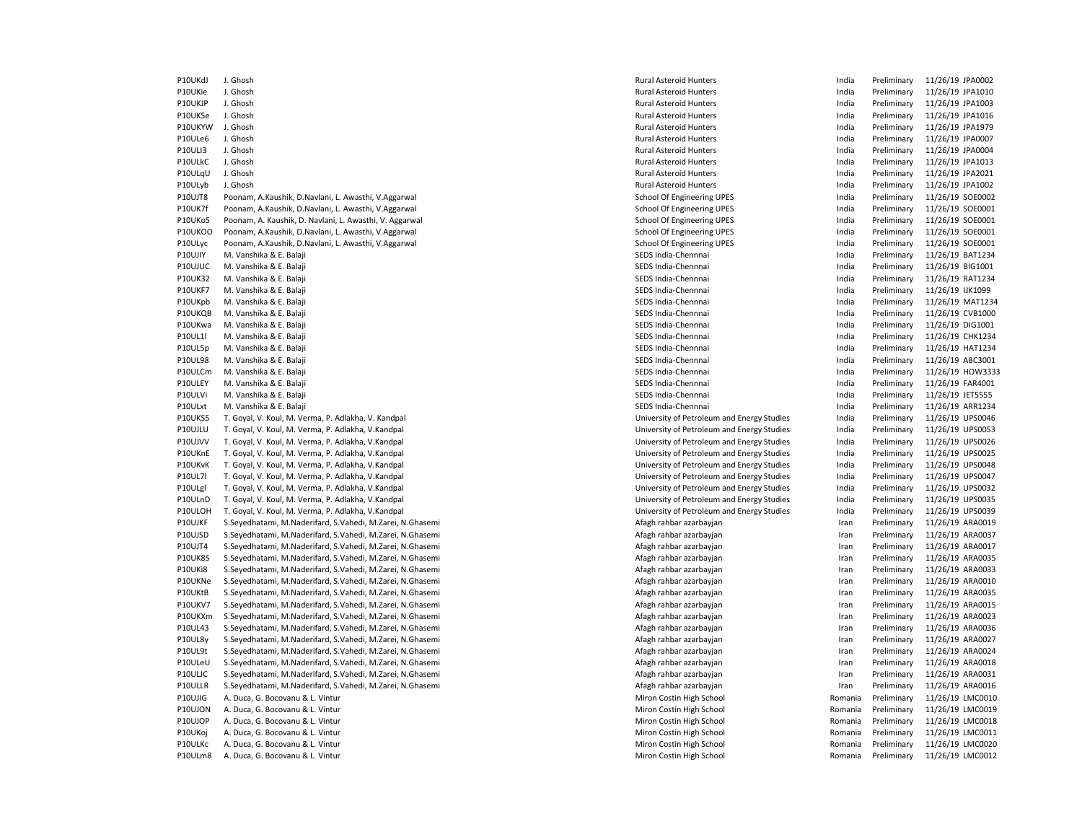P10UKdJ J. Ghosh Rural Asteroid Hunters India Preliminary 11/26/19 JPA0002 P10UKie J. Ghosh Rural Asteroid Hunters India Preliminary 11/26/19 JPA1010 P10UKJP J. Ghosh Rural Asteroid Hunters India Preliminary 11/26/19 JPA1003 P10UKSe J. Ghosh Rural Asteroid Hunters India Preliminary 11/26/19 JPA1016 P10UKYW J.Ghosh 11/26/19 JPA1979 P10UKYW J.Ghosh Rural Asteroid Hunters Published and Preliminary 11/26/19 JPA1979 P10ULe6 J. Ghosh Rural Asteroid Hunters India Preliminary 11/26/19 JPA0007 P10ULI3 J. Ghosh Rural Asteroid Hunters India Preliminary 11/26/19 JPA0004 P10ULkC J. Ghosh Rural Asteroid Hunters India Preliminary 11/26/19 JPA1013 P10ULqU J. Ghosh Rural Asteroid Hunters India Preliminary 11/26/19 JPA2021 P10ULyb J. Ghosh Rural Asteroid Hunters India Preliminary 11/26/19 JPA1002 P10UJT8 Poonam, A.Kaushik, D.Navlani, L. Awasthi, V.Aggarwal School School Of Engineering UPES India Preliminary 11/26/19 SOE0002 P10UK7f Poonam, A.Kaushik, D.Navlani, L. Awasthi, V.Aggarwal School School Of Engineering UPES India Preliminary 11/26/19 SOE0001 P10UKo5 Poonam, A. Kaushik, D. Navlani, L. Awasthi, V. Aggarwal School School Of Engineering UPES had a preliminary 11/26/19 SOE0001 P10UKOO Poonam, A.Kaushik, D.Navlani, L. Awasthi, V.Aggarwal School Of Engineering UPES School Of Engineering UPES https://www.facebool.com/india Preliminary 11/26/19 SOE0001 P10ULyc Poonam, A.Kaushik, D.Navlani, L. Awasthi, V.Aggarwal School School Of Engineering UPES India Preliminary 11/26/19 SOE0001 P10UJIY M. Vanshika & E. Balaji SEDS India-Chennai SEDS India-Chennnai SEDS India-Chennnai India Preliminary 11/26/19 BAT1234 P10UJUC M. Vanshika & E. Balaji Nambara Alikuwa kwa mwaka wa sensa mwaka wa SEDS India-Chennnai Nambara alikuwa mwaka wa 11/26/19 BIG1001 P10UK32 M. Vanshika & E. Balaji SEDS India-Chennnai India Preliminary 11/26/19 RAT1234 P10UKF7 M. Vanshika & E. Balaji Sember 2021 SEDS India-Chennai SEDS India-Chennnai New SEDS India Preliminary 11/26/19 IJK1099 P10UKpb M. Vanshika & E. Balaji SEDS India-Chennai SEDS India-Chennnai SEDS India-Chennnai India Preliminary 11/26/19 MAT1234 P10UKQB M. Vanshika & E. Balaji SEDS India-Chennnai India Preliminary 11/26/19 CVB1000 P10UKwa M. Vanshika & E. Balaji Nambara aka kwa mwaka wa sensa mwaka wa SEDS India-Chennnai Nambara na kwa mwaka wa 11/26/19 DIG1001 P10UL1l M. Vanshika & E. Balaji SEDS India-Chennai SEDS India-Chennai SEDS India-Chennai India Preliminary 11/26/19 CHK1234 P10UL5p M. Vanshika & E. Balaji SEDS India-Chennnai India Preliminary 11/26/19 HAT1234 P10UL98 M. Vanshika & E. Balaji SEDS India-Chennnai India Preliminary 11/26/19 ABC3001 P10ULCm M. Vanshika & E. Balaji Semboli Semboli Semboli SEDS India-Chennnai SEDS India-Chennnai New SEDS India Preliminary 11/26/19 HOW3333 P10ULEY M. Vanshika & E. Balaji SEDS And a SEDS India-Chennai SEDS India-Chennnai Number of SEDS India Preliminary 11/26/19 FAR4001 P10ULVi M. Vanshika & E. Balaji SEDS India-Chennnai India Preliminary 11/26/19 JET5555 P10ULxt M. Vanshika & E. Balaji SEDS India-Chennnai India Preliminary 11/26/19 ARR1234 P10UKS5 T. Goyal, V. Koul, M. Verma, P. Adlakha, V. Kandpal University of Petroleum and Energy Studies India Preliminary 11/26/19 UPS0046 P10UJLU T. Goyal, V. Koul, M. Verma, P. Adlakha, V.Kandpal University of Petroleum and Energy Studies India Preliminary 11/26/19 UPS0053 P10UJVV T. Goyal, V. Koul, M. Verma, P. Adlakha, V. Kandpal University of Petroleum and Energy Studies Mudia Preliminary 11/26/19 UPS0026 P10UKnE T. Goyal, V. Koul, M. Verma, P. Adlakha, V. Kandpal University of Petroleum and Energy Studies Mudia Preliminary 11/26/19 UPS0025 P10UKvK T. Goyal, V. Koul, M. Verma, P. Adlakha, V. Kandpal University of Petroleum and Energy Studies Mudia Preliminary 11/26/19 UPS0048 P10UL7l T. Goyal, V. Koul, M. Verma, P. Adlakha, V. Kandpal University of Petroleum and Energy Studies Mudia Preliminary 11/26/19 UPS0047 P10ULgl T. Goyal, V. Koul, M. Verma, P. Adlakha, V. Kandpal University of Petroleum and Energy Studies Mudia Preliminary 11/26/19 UPS0032 P10ULnD T. Goyal, V. Koul, M. Verma, P. Adlakha, V.Kandpal University of Petroleum and Energy Studies India Preliminary 11/26/19 UPS0035 P10ULOH T. Goyal, V. Koul, M. Verma, P. Adlakha, V. Kandpal University of Petroleum and Energy Studies Mudia Preliminary 11/26/19 UPS0039 P10UJKF S.Seyedhatami, M.Naderifard, S.Vahedi, M.Zarei, N.Ghasemi Arabar azarbayian Afagh rahbar azarbayjan amaz arabayin Iran Preliminary 11/26/19 ARA0019 P10UJSD S.Seyedhatami, M.Naderifard, S.Vahedi, M.Zarei, N.Ghasemi American Afagh rahbar azarbayjan Afagh rahbar azarbayjan and Preliminary 11/26/19 ARA0037 P10UJT4 S.Seyedhatami, M.Naderifard, S.Vahedi, M.Zarei, N.Ghasemi Arabar azarbayian Afagh rahbar azarbayjan amaz azarbayin Iran Preliminary 11/26/19 ARA0017 P10UK8S S.Seyedhatami, M.Naderifard, S.Vahedi, M.Zarei, N.Ghasemi Arabar azarbayin Afagh rahbar azarbayjan amaz arabayin Iran Preliminary 11/26/19 ARA0035 P10UKi8 S.Seyedhatami, M.Naderifard, S.Vahedi, M.Zarei, N.Ghasemi Arabar azarbayida Afagh rahbar azarbayjan an Preliminary 11/26/19 ARA0033 P10UKNe S.Seyedhatami, M.Naderifard, S.Vahedi, M.Zarei, N.Ghasemi American Afagh rahbar azarbayjan Afagh rahbar azarbayjan and Preliminary 11/26/19 ARA0010 P10UKtB S.Seyedhatami, M.Naderifard, S.Vahedi, M.Zarei, N.Ghasemi American Afagh rahbar azarbayjan Afagh rahbar azarbayjan american Preliminary 11/26/19 ARA0035 P10UKV7 S.Seyedhatami, M.Naderifard, S.Vahedi, M.Zarei, N.Ghasemi Arabar azarbayidan Afagh rahbar azarbayjan amaz azarbayidan Iran Preliminary 11/26/19 ARA0015 P10UKXm S.Seyedhatami, M.Naderifard, S.Vahedi, M.Zarei, N.Ghasemi Arabar and Particus and and and Afagh rahbar azarbayjan and and the meliminary 11/26/19 ARA0023<br>P10UL43 S.Seyedhatami, M.Naderifard, S.Vahedi, M.Zarei, N.Gh P10UL43 S.Seyedhatami, M.Naderifard, S.Vahedi, M.Zarei, N.Ghasemi Aran Afagh rahbar azarbayian Iran Preliminary 11/26/19 Aran Preliminary 11/26/19 Aran 11/26/19 Aran Preliminary 11/26/19 Aran 11/26/19 Aran 11/26/2010 Aran P10UL8y S.Seyedhatami, M.Naderifard, S.Vahedi, M.Zarei, N.Ghasemi American Afagh rahbar azarbayjan Afagh rahbar azarbayjan Iran Preliminary 11/26/19 ARA0027 P10UL9t S.Seyedhatami, M.Naderifard, S.Vahedi, M.Zarei, N.Ghasemi Arabar azarbayian Afagh rahbar azarbayjan amaz arabayin Iran Preliminary 11/26/19 ARA0024 P10ULeU S.Seyedhatami, M.Naderifard, S.Vahedi, M.Zarei, N.Ghasemi American Afagh rahbar azarbayjan Afagh rahbar azarbayjan Iran Preliminary 11/26/19 ARA0018 P10ULJC S.Seyedhatami, M.Naderifard, S.Vahedi, M.Zarei, N.Ghasemi Arabar azarbayian Afagh rahbar azarbayjan amaz azarbayin Iran Preliminary 11/26/19 ARA0031 P10ULLR S.Seyedhatami, M.Naderifard, S.Vahedi, M.Zarei, N.Ghasemi Arabar Afagh rahbar azarbayian and arabayjan memining memininary 11/26/19 ARA0016<br>P10UJIG A. Duca, G. Bocovanu & L. Vintur Arabar Atlantary 11/26/19 LMC0010 P10UJIG A. Duca, G. Bocovanu & L. Vintur Miron Costin High School Romania Preliminary 11/26/19 LMC001 Romania Preliminary 11/26/19 LMC001 P10UJON A. Duca, G. Bocovanu & L. Vintur Niron Costin High School Miron Costin High School Romania Preliminary 11/26/19 LMC0019 P10UJOP A. Duca, G. Bocovanu & L. Vintur Costin Miron Costin High School Miron Costin High School Romania Preliminary 11/26/19 LMC0018 P10UKoj A. Duca, G. Bocovanu & L. Vintur Costin Miron Costin High School Miron Costin High School Romania Preliminary 11/26/19 LMC0011 P10ULKc A. Duca, G. Bocovanu & L. Vintur Costin Miron Costin High School Miron Costin High School Romania Preliminary 11/26/19 LMC0020 P10ULm8 A. Duca, G. Bocovanu & L. Vintur Costin Miron Costin High School Miron Costin High School Romania Preliminary 11/26/19 LMC0012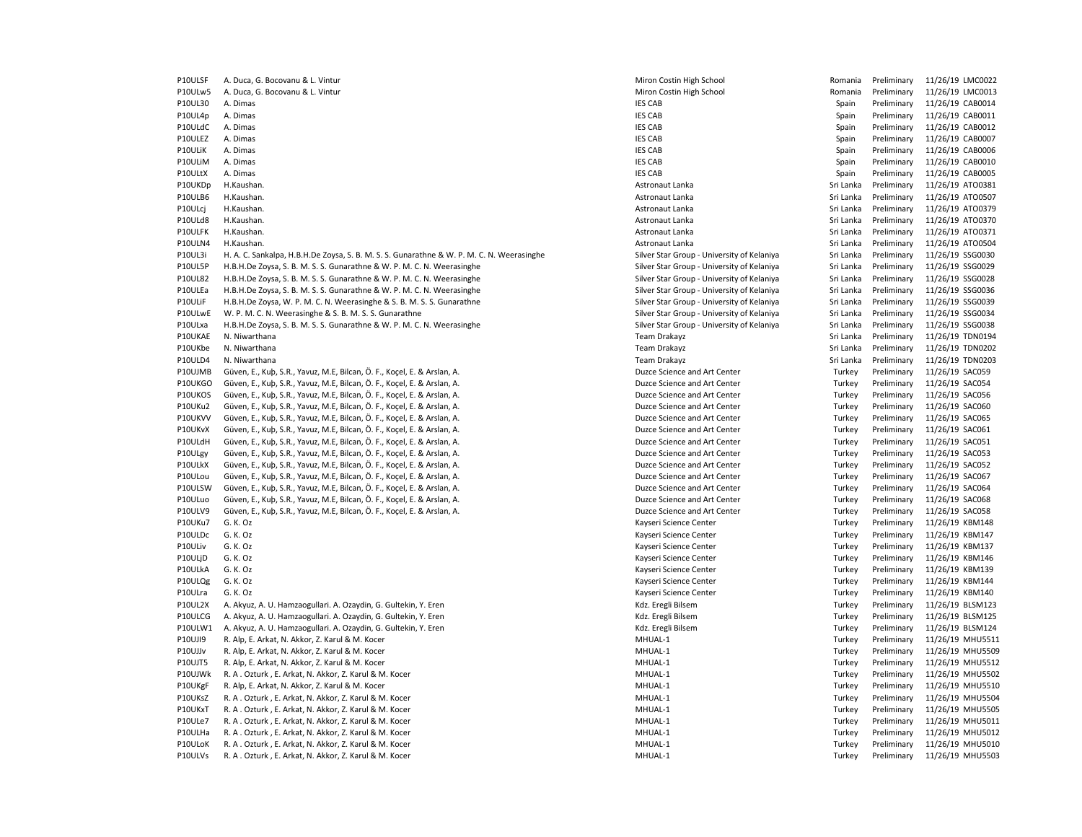| P10ULSF | A. Duca, G. Bocovanu & L. Vintur                                                          | Miron Costin High School                   | Romania   | Preliminary | 11/26/19 LMC0022 |
|---------|-------------------------------------------------------------------------------------------|--------------------------------------------|-----------|-------------|------------------|
| P10ULw5 | A. Duca, G. Bocovanu & L. Vintur                                                          | Miron Costin High School                   | Romania   | Preliminary | 11/26/19 LMC0013 |
| P10UL30 | A. Dimas                                                                                  | <b>IES CAB</b>                             | Spain     | Preliminary | 11/26/19 CAB0014 |
| P10UL4p | A. Dimas                                                                                  | <b>IES CAB</b>                             | Spain     | Preliminary | 11/26/19 CAB0011 |
| P10ULdC | A. Dimas                                                                                  | <b>IES CAB</b>                             | Spain     | Preliminary | 11/26/19 CAB0012 |
| P10ULEZ | A. Dimas                                                                                  | <b>IES CAB</b>                             | Spain     | Preliminary | 11/26/19 CAB0007 |
| P10ULiK | A. Dimas                                                                                  | <b>IES CAB</b>                             | Spain     | Preliminary | 11/26/19 CAB0006 |
| P10ULiM | A. Dimas                                                                                  | <b>IES CAB</b>                             | Spain     | Preliminary | 11/26/19 CAB0010 |
| P10ULtX | A. Dimas                                                                                  | <b>IES CAB</b>                             | Spain     | Preliminary | 11/26/19 CAB0005 |
| P10UKDp | H.Kaushan.                                                                                | Astronaut Lanka                            | Sri Lanka | Preliminary | 11/26/19 ATO0381 |
| P10ULB6 | H.Kaushan.                                                                                | Astronaut Lanka                            | Sri Lanka | Preliminary | 11/26/19 ATO0507 |
| P10ULcj | H.Kaushan.                                                                                | Astronaut Lanka                            | Sri Lanka | Preliminary | 11/26/19 ATO0379 |
| P10ULd8 | H.Kaushan.                                                                                | Astronaut Lanka                            | Sri Lanka | Preliminary | 11/26/19 ATO0370 |
| P10ULFK | H.Kaushan.                                                                                | Astronaut Lanka                            | Sri Lanka | Preliminary | 11/26/19 ATO0371 |
| P10ULN4 | H.Kaushan.                                                                                | Astronaut Lanka                            | Sri Lanka | Preliminary | 11/26/19 ATO0504 |
| P10UL3i | H. A. C. Sankalpa, H.B.H.De Zoysa, S. B. M. S. S. Gunarathne & W. P. M. C. N. Weerasinghe | Silver Star Group - University of Kelaniya | Sri Lanka | Preliminary | 11/26/19 SSG0030 |
| P10UL5P | H.B.H.De Zoysa, S. B. M. S. S. Gunarathne & W. P. M. C. N. Weerasinghe                    | Silver Star Group - University of Kelaniya | Sri Lanka | Preliminary | 11/26/19 SSG0029 |
| P10UL82 | H.B.H.De Zoysa, S. B. M. S. S. Gunarathne & W. P. M. C. N. Weerasinghe                    | Silver Star Group - University of Kelaniya | Sri Lanka | Preliminary | 11/26/19 SSG0028 |
| P10ULEa | H.B.H.De Zoysa, S. B. M. S. S. Gunarathne & W. P. M. C. N. Weerasinghe                    | Silver Star Group - University of Kelaniya | Sri Lanka | Preliminary | 11/26/19 SSG0036 |
| P10ULiF | H.B.H.De Zoysa, W. P. M. C. N. Weerasinghe & S. B. M. S. S. Gunarathne                    | Silver Star Group - University of Kelaniya | Sri Lanka | Preliminary | 11/26/19 SSG0039 |
| P10ULwE | W. P. M. C. N. Weerasinghe & S. B. M. S. S. Gunarathne                                    | Silver Star Group - University of Kelaniya | Sri Lanka | Preliminary | 11/26/19 SSG0034 |
| P10ULxa | H.B.H.De Zoysa, S. B. M. S. S. Gunarathne & W. P. M. C. N. Weerasinghe                    | Silver Star Group - University of Kelaniya | Sri Lanka | Preliminary | 11/26/19 SSG0038 |
| P10UKAE | N. Niwarthana                                                                             | <b>Team Drakayz</b>                        | Sri Lanka | Preliminary | 11/26/19 TDN0194 |
| P10UKbe | N. Niwarthana                                                                             | Team Drakayz                               | Sri Lanka | Preliminary | 11/26/19 TDN0202 |
| P10ULD4 | N. Niwarthana                                                                             | Team Drakayz                               | Sri Lanka | Preliminary | 11/26/19 TDN0203 |
| P10UJMB | Güven, E., Kuþ, S.R., Yavuz, M.E, Bilcan, Ö. F., Koçel, E. & Arslan, A.                   | Duzce Science and Art Center               | Turkey    | Preliminary | 11/26/19 SAC059  |
| P10UKGO | Güven, E., Kuþ, S.R., Yavuz, M.E, Bilcan, Ö. F., Koçel, E. & Arslan, A.                   | Duzce Science and Art Center               | Turkey    | Preliminary | 11/26/19 SAC054  |
| P10UKOS | Güven, E., Kuþ, S.R., Yavuz, M.E, Bilcan, Ö. F., Koçel, E. & Arslan, A.                   | Duzce Science and Art Center               | Turkey    | Preliminary | 11/26/19 SAC056  |
| P10UKu2 | Güven, E., Kuþ, S.R., Yavuz, M.E, Bilcan, Ö. F., Koçel, E. & Arslan, A.                   | Duzce Science and Art Center               | Turkey    | Preliminary | 11/26/19 SAC060  |
| P10UKVV | Güven, E., Kuþ, S.R., Yavuz, M.E, Bilcan, Ö. F., Koçel, E. & Arslan, A.                   | Duzce Science and Art Center               | Turkey    | Preliminary | 11/26/19 SAC065  |
| P10UKvX | Güven, E., Kub, S.R., Yavuz, M.E, Bilcan, Ö. F., Kocel, E. & Arslan, A.                   | Duzce Science and Art Center               | Turkey    | Preliminary | 11/26/19 SAC061  |
| P10ULdH | Güven, E., Kuþ, S.R., Yavuz, M.E, Bilcan, Ö. F., Koçel, E. & Arslan, A.                   | Duzce Science and Art Center               | Turkey    | Preliminary | 11/26/19 SAC051  |
| P10ULgy | Güven, E., Kuþ, S.R., Yavuz, M.E, Bilcan, Ö. F., Koçel, E. & Arslan, A.                   | Duzce Science and Art Center               | Turkey    | Preliminary | 11/26/19 SAC053  |
| P10ULkX | Güven, E., Kuþ, S.R., Yavuz, M.E, Bilcan, Ö. F., Koçel, E. & Arslan, A.                   | Duzce Science and Art Center               | Turkey    | Preliminary | 11/26/19 SAC052  |
| P10ULou | Güven, E., Kuþ, S.R., Yavuz, M.E, Bilcan, Ö. F., Koçel, E. & Arslan, A.                   | Duzce Science and Art Center               | Turkey    | Preliminary | 11/26/19 SAC067  |
| P10ULSW | Güven, E., Kuþ, S.R., Yavuz, M.E, Bilcan, Ö. F., Koçel, E. & Arslan, A.                   | Duzce Science and Art Center               | Turkey    | Preliminary | 11/26/19 SAC064  |
|         |                                                                                           |                                            |           |             |                  |
| P10ULuo | Güven, E., Kuþ, S.R., Yavuz, M.E, Bilcan, Ö. F., Koçel, E. & Arslan, A.                   | Duzce Science and Art Center               | Turkey    | Preliminary | 11/26/19 SAC068  |
| P10ULV9 | Güven, E., Kuþ, S.R., Yavuz, M.E, Bilcan, Ö. F., Koçel, E. & Arslan, A.                   | Duzce Science and Art Center               | Turkey    | Preliminary | 11/26/19 SAC058  |
| P10UKu7 | G. K. Oz                                                                                  | Kayseri Science Center                     | Turkey    | Preliminary | 11/26/19 KBM148  |
| P10ULDc | G. K. Oz                                                                                  | Kayseri Science Center                     | Turkey    | Preliminary | 11/26/19 KBM147  |
| P10ULiv | G. K. Oz                                                                                  | Kayseri Science Center                     | Turkey    | Preliminary | 11/26/19 KBM137  |
| P10ULjD | G. K. Oz                                                                                  | Kayseri Science Center                     | Turkey    | Preliminary | 11/26/19 KBM146  |
| P10ULkA | G. K. Oz                                                                                  | Kayseri Science Center                     | Turkey    | Preliminary | 11/26/19 KBM139  |
| P10ULQg | G. K. Oz                                                                                  | Kayseri Science Center                     | Turkey    | Preliminary | 11/26/19 KBM144  |
| P10ULra | G. K. Oz                                                                                  | Kayseri Science Center                     | Turkey    | Preliminary | 11/26/19 KBM140  |
| P10UL2X | A. Akyuz, A. U. Hamzaogullari. A. Ozaydin, G. Gultekin, Y. Eren                           | Kdz. Eregli Bilsem                         | Turkey    | Preliminary | 11/26/19 BLSM123 |
| P10ULCG | A. Akyuz, A. U. Hamzaogullari. A. Ozaydin, G. Gultekin, Y. Eren                           | Kdz. Eregli Bilsem                         | Turkey    | Preliminary | 11/26/19 BLSM125 |
| P10ULW1 | A. Akyuz, A. U. Hamzaogullari. A. Ozaydin, G. Gultekin, Y. Eren                           | Kdz. Eregli Bilsem                         | Turkey    | Preliminary | 11/26/19 BLSM124 |
| P10UJI9 | R. Alp, E. Arkat, N. Akkor, Z. Karul & M. Kocer                                           | MHUAL-1                                    | Turkey    | Preliminary | 11/26/19 MHU5511 |
| P10UJJv | R. Alp, E. Arkat, N. Akkor, Z. Karul & M. Kocer                                           | MHUAL-1                                    | Turkey    | Preliminary | 11/26/19 MHU5509 |
| P10UJT5 | R. Alp, E. Arkat, N. Akkor, Z. Karul & M. Kocer                                           | MHUAL-1                                    | Turkey    | Preliminary | 11/26/19 MHU5512 |
| P10UJWk | R. A. Ozturk, E. Arkat, N. Akkor, Z. Karul & M. Kocer                                     | MHUAL-1                                    | Turkey    | Preliminary | 11/26/19 MHU5502 |
| P10UKgF | R. Alp, E. Arkat, N. Akkor, Z. Karul & M. Kocer                                           | MHUAL-1                                    | Turkey    | Preliminary | 11/26/19 MHU5510 |
| P10UKsZ | R. A. Ozturk, E. Arkat, N. Akkor, Z. Karul & M. Kocer                                     | MHUAL-1                                    | Turkey    | Preliminary | 11/26/19 MHU5504 |
| P10UKxT | R. A. Ozturk, E. Arkat, N. Akkor, Z. Karul & M. Kocer                                     | MHUAL-1                                    | Turkey    | Preliminary | 11/26/19 MHU5505 |
| P10ULe7 | R. A. Ozturk, E. Arkat, N. Akkor, Z. Karul & M. Kocer                                     | MHUAL-1                                    | Turkey    | Preliminary | 11/26/19 MHU5011 |
| P10ULHa | R. A. Ozturk, E. Arkat, N. Akkor, Z. Karul & M. Kocer                                     | MHUAL-1                                    | Turkey    | Preliminary | 11/26/19 MHU5012 |
| P10ULoK | R. A. Ozturk, E. Arkat, N. Akkor, Z. Karul & M. Kocer                                     | MHUAL-1                                    | Turkey    | Preliminary | 11/26/19 MHU5010 |
| P10ULVs | R. A. Ozturk, E. Arkat, N. Akkor, Z. Karul & M. Kocer                                     | MHUAL-1                                    | Turkey    | Preliminary | 11/26/19 MHU5503 |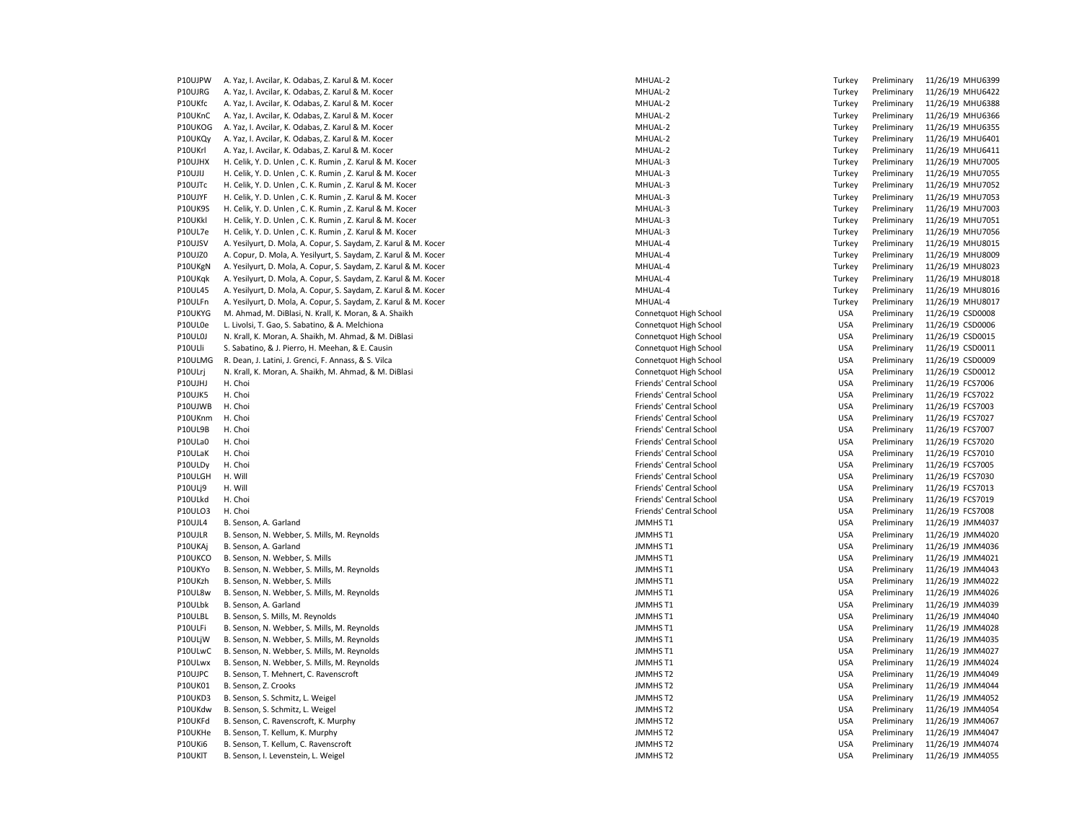P10UJPW A. Yaz, I. Avcilar, K. Odabas, Z. Karul & M. Kocer MHUAL-2 MHUAL-2 MHUAL-2 Turkey Preliminary 11/26/19 MHU6399 P10UJRG A. Yaz, I. Avcilar, K. Odabas, Z. Karul & M. Kocer MHUAL-2 Turkey Preliminary 11/26/19 MHUAL-2 P10UKfc A. Yaz, I. Avcilar, K. Odabas, Z. Karul & M. Kocer MHUAL-2 Turkey Preliminary 11/26/19 MHUAL-2 P10UKnC A. Yaz, I. Avcilar, K. Odabas, Z. Karul & M. Kocer MHUAL-2 Turkey Preliminary 11/26/19 MHUAL-2 P10UKOG A. Yaz, I. Avcilar, K. Odabas, Z. Karul & M. Kocer MHUAL-2 Turkey Preliminary 11/26/19 MHUAL-2 P10UKQy A. Yaz, I. Avcilar, K. Odabas, Z. Karul & M. Kocer MHUAL-2 Turkey Preliminary 11/26/19 MHUAL-2 P10UKrl A. Yaz, I. Avcilar, K. Odabas, Z. Karul & M. Kocer MHUAL-2 Turkey Preliminary 11/26/19 MHUAL-2 P10UJHX H. Celik, Y. D. Unlen , C. K. Rumin , Z. Karul & M. Kocer MHUAL-3 Turkey Preliminary Preliminary 11/26<br>P10UJU H. Celik, Y. D. Unlen . C. K. Rumin . Z. Karul & M. Kocer MHUAL-3 P10UJIJ H. Celik, Y. D. Unlen , C. K. Rumin , Z. Karul & M. Kocer P10UJTc H. Celik, Y. D. Unlen , C. K. Rumin , Z. Karul & M. Kocer MHUAL-3 Turkey Preliminary 11/26/19 MHUAL-3 P10UJYF H. Celik, Y. D. Unlen , C. K. Rumin , Z. Karul & M. Kocer MHUAL-3 Turkey Preliminary 11/26/19 MHUAL-3 P10UK9S H. Celik, Y. D. Unlen , C. K. Rumin , Z. Karul & M. Kocer MHUAL-3 Turkey Press, 2008. MHUAL-3 P10UKkl H. Celik, Y. D. Unlen , C. K. Rumin , Z. Karul & M. Kocer MHUAL-3 Turkey Press, 2008. MHUAL-3 P10UL7e H. Celik, Y. D. Unlen , C. K. Rumin , Z. Karul & M. Kocer MHUAL-3 Turkey Press, MHUAL-3 Turkey Press, MHUAL-3 P10UJSV A. Yesilyurt, D. Mola, A. Copur, S. Saydam, Z. Karul & M. Kocer MHUAL-4 Turkey Preliminary 11/26/19 MHUAL-4 P10UJZ0 A. Copur, D. Mola, A. Yesilyurt, S. Saydam, Z. Karul & M. Kocer MHUAL-4 Turkey Preliminary 11/26/19 MHUAL-4 P10UKgN A. Yesilyurt, D. Mola, A. Copur, S. Saydam, Z. Karul & M. Kocer MHUAL-4 Turkey Preliminary 11/26/19 MHUAL-4 P10UKqk A. Yesilyurt, D. Mola, A. Copur, S. Saydam, Z. Karul & M. Kocer MHUAL-4 Turkey Preliminary 11/26/19 MHUAL-4 P10UL45 A. Yesilyurt, D. Mola, A. Copur, S. Saydam, Z. Karul & M. Kocer MHUAL-4 Turkey Preliminary 11/26/19 MHUAL-4 Turkey Preliminary 11/26/19 MHUAL-4 Preliminary 11/26/19 MHUAL-4 Preliminary 11/26/19 MHU801-4 MHU801-4 MH P10ULFn A. Yesilyurt, D. Mola, A. Copur, S. Saydam, Z. Karul & M. Kocer P10UKYG M. Ahmad, M. DiBlasi, N. Krall, K. Moran, & A. Shaikh Connetaus Connet and Treliminary 11/26/19 Connetquot High School P10UL0e L. Livolsi, T. Gao, S. Sabatino, & A. Melchiona Connetationa Connetquot High School USA Preliminary 11 P10UL0J N. Krall, K. Moran, A. Shaikh, M. Ahmad, & M. DiBlasi Connetaus Connetquot High School USA Preliminary 11/26/19 Connetquot High School P10ULli S. Sabatino, & J. Pierro, H. Meehan, & E. Causin Connetaus Connet and Connet and Connet and High School P10ULMG R. Dean, J. Latini, J. Grenci, F. Annass, & S. Vilca Connetaus Connetaus Connetaus High School USA Pre P10ULrj N. Krall, K. Moran, A. Shaikh, M. Ahmad, & M. DiBlasi Connettion Connetquot High School USA Preliminary 11/26/19 Connetquot High School P10UJHJ H. Choi **Friends' Central School Friends' Central School** USA Preliminary 11/26/19 FCS7006 P10UJK5 H. Choi Friends' Central School USA Preliminary 11/26/19 FCS7022 P10UJWB H. Choi https://www.blood.com/induction-state-of-contral School Friends' Central School USA Preliminary 11/26/19 FCS7003 P10UKnm H. Choi **Friends' Central School Friends' Central School** USA Preliminary 11/26/19 FCS7027 P10UL9B H. Choi H. Choi Friends' Central School Friends' Central School USA Preliminary 11/26/19 FCS7007 P10ULa0 H. Choi H. Choi Friends' Central School Friends' Central School USA Preliminary 11/26/19 FCS7020 P10ULaK H. Choi H. Choi Friends' Central School Friends' Central School USA Preliminary 11/26/19 FCS7010 P10ULDy H. Choi entertainment and the state of the state of the Central School Friends' Central School and the USA Preliminary 11/26/19 FCS7005 P10ULGH H. Will Friends' Central School USA Preliminary 11/26/19 FCS7030 P10ULj9 H. Will Friends' Central School USA Preliminary 11/26/19 FCS7013 P10ULkd H. Choi Friends' Central School USA Preliminary 11/26/19 FCS7019 P10ULO3 H. Choi **Friends' Central School Friends' Central School** USA Preliminary 11/26/19 FCS7008 P10UJL4 B. Senson, A. Garland JMMHS T1 USA Preliminary 11/26/19 JMM4037 P10UJLR B. Senson, N. Webber, S. Mills, M. Reynolds JMMHS T1 USA Present Assembly 100 JMMHS T1 P10UKAj B. Senson, A. Garland and Santa Material and Santa Company of the Music Senson, A. Garland and Music Senson, A. Garland Santa Company 11/26/19 JMM4036 P10UKCO B. Senson, N. Webber, S. Mills JMMHS T1 P10UKYo B. Senson, N. Webber, S. Mills, M. Reynolds JMMHS T1 P10UKzh B. Senson, N. Webber, S. Mills<br>P10UL8w B. Senson, N. Webber, S. Mills, M. Reynolds Preliminary 11/26/19 JMMHS T1 P10UL8w B. Senson, N. Webber, S. Mills, M. Reynolds P10ULbk B. Senson, A. Garland 2012 126/19 JMMHS TO DELLE REGISTER SENSION DESCRIPTION AND RELIMINARY 11 AND DESCRIPTION OF DETAILS AND DESCRIPTION OF DESCRIPTION OF DESCRIPTION OF DESCRIPTION OF DESCRIPTION OF DESCRIPTION P10ULBL B. Senson, S. Mills, M. Reynolds JMMHS T1<br>P10ULFi B. Senson, N. Webber, S. Mills, M. Reynolds JMMHS T1 P10ULFi B. Senson, N. Webber, S. Mills, M. Reynolds P10ULjW B. Senson, N. Webber, S. Mills, M. Reynolds JMMHS T1 P10ULwC B. Senson, N. Webber, S. Mills, M. Reynolds JMMHS T1 P10ULwx B. Senson, N. Webber, S. Mills, M. Reynolds JMMHS T1 P10UJPC B. Senson, T. Mehnert, C. Ravenscroft JMMHS T2 P10UK01 B. Senson, Z. Crooks JMMHS T2 USA Preliminary 11/26/19 JMM4044 P10UKD3 B. Senson, S. Schmitz, L. Weigel JMMHS T2 P10UKdw B. Senson, S. Schmitz, L. Weigel JMMHS T2 P10UKFd B. Senson, C. Ravenscroft, K. Murphy JMMHS T2 P10UKHe B. Senson, T. Kellum, K. Murphy JMMHS T2 P10UKi6 B. Senson, T. Kellum, C. Ravenscroft JMMHS T2 P10UKlT B. Senson, I. Levenstein, L. Weigel JMMHS T2

| Turkey     | Preliminary | 11/26/19 | MHU6422 |
|------------|-------------|----------|---------|
| Turkey     | Preliminary | 11/26/19 | MHU6388 |
| Turkey     | Preliminary | 11/26/19 | MHU636  |
| Turkey     | Preliminary | 11/26/19 | MHU635! |
| Turkey     | Preliminary | 11/26/19 | MHU640: |
| Turkey     | Preliminary | 11/26/19 | MHU641: |
| Turkey     | Preliminary | 11/26/19 | MHU700! |
| Turkey     | Preliminary | 11/26/19 | MHU705! |
| Turkey     | Preliminary | 11/26/19 | MHU7052 |
| Turkey     | Preliminary | 11/26/19 | MHU7053 |
| Turkey     | Preliminary | 11/26/19 | MHU7003 |
| Turkey     | Preliminary | 11/26/19 | MHU705: |
| Turkey     | Preliminary | 11/26/19 | MHU7056 |
| Turkey     | Preliminary | 11/26/19 | MHU801! |
| Turkey     | Preliminary | 11/26/19 | MHU8009 |
| Turkey     | Preliminary | 11/26/19 | MHU8023 |
| Turkey     | Preliminary | 11/26/19 | MHU8018 |
| Turkey     | Preliminary | 11/26/19 | MHU8016 |
| Turkey     | Preliminary | 11/26/19 | MHU801  |
| <b>USA</b> | Preliminary | 11/26/19 | CSD0008 |
| <b>USA</b> | Preliminary | 11/26/19 | CSD0006 |
| <b>USA</b> | Preliminary | 11/26/19 | CSD0015 |
| <b>USA</b> | Preliminary | 11/26/19 | CSD0011 |
| <b>USA</b> | Preliminary | 11/26/19 | CSD0009 |
| <b>USA</b> | Preliminary | 11/26/19 | CSD0012 |
| USA        | Preliminary | 11/26/19 | FCS7006 |
| <b>USA</b> | Preliminary | 11/26/19 | FCS7022 |
| <b>USA</b> | Preliminary | 11/26/19 | FCS7003 |
| <b>USA</b> | Preliminary | 11/26/19 | FCS7027 |
| <b>USA</b> | Preliminary | 11/26/19 | FCS7007 |
| <b>USA</b> | Preliminary | 11/26/19 | FCS7020 |
| <b>USA</b> | Preliminary | 11/26/19 | FCS7010 |
| <b>USA</b> | Preliminary | 11/26/19 | FCS7005 |
| <b>USA</b> | Preliminary | 11/26/19 | FCS7030 |
| <b>USA</b> | Preliminary | 11/26/19 | FCS7013 |
| <b>USA</b> | Preliminary | 11/26/19 | FCS7019 |
| <b>USA</b> | Preliminary | 11/26/19 | FCS7008 |
| <b>USA</b> | Preliminary | 11/26/19 | JMM4037 |
| <b>USA</b> | Preliminary | 11/26/19 | JMM4020 |
| <b>USA</b> | Preliminary | 11/26/19 | JMM4036 |
| <b>USA</b> | Preliminary | 11/26/19 | JMM4021 |
| <b>USA</b> | Preliminary | 11/26/19 | JMM4043 |
| <b>USA</b> | Preliminary | 11/26/19 | JMM4022 |
| <b>USA</b> | Preliminary | 11/26/19 | JMM4026 |
| USA        | Preliminary | 11/26/19 | JMM4039 |
| USA        | Preliminary | 11/26/19 | JMM4040 |
| <b>USA</b> | Preliminary | 11/26/19 | JMM4028 |
| USA        | Preliminary | 11/26/19 | JMM4035 |
| USA        | Preliminary | 11/26/19 | JMM4027 |
| <b>USA</b> | Preliminary | 11/26/19 | JMM4024 |
| <b>USA</b> | Preliminary | 11/26/19 | JMM4049 |
| <b>USA</b> | Preliminary | 11/26/19 | JMM4044 |
| <b>USA</b> | Preliminary | 11/26/19 | JMM4052 |
| <b>USA</b> | Preliminary | 11/26/19 | JMM4054 |
| USA        | Preliminary | 11/26/19 | JMM4067 |
| <b>USA</b> | Preliminary | 11/26/19 | JMM4047 |
| <b>USA</b> | Preliminary | 11/26/19 | JMM4074 |
| <b>USA</b> | Preliminary | 11/26/19 | JMM4055 |
|            |             |          |         |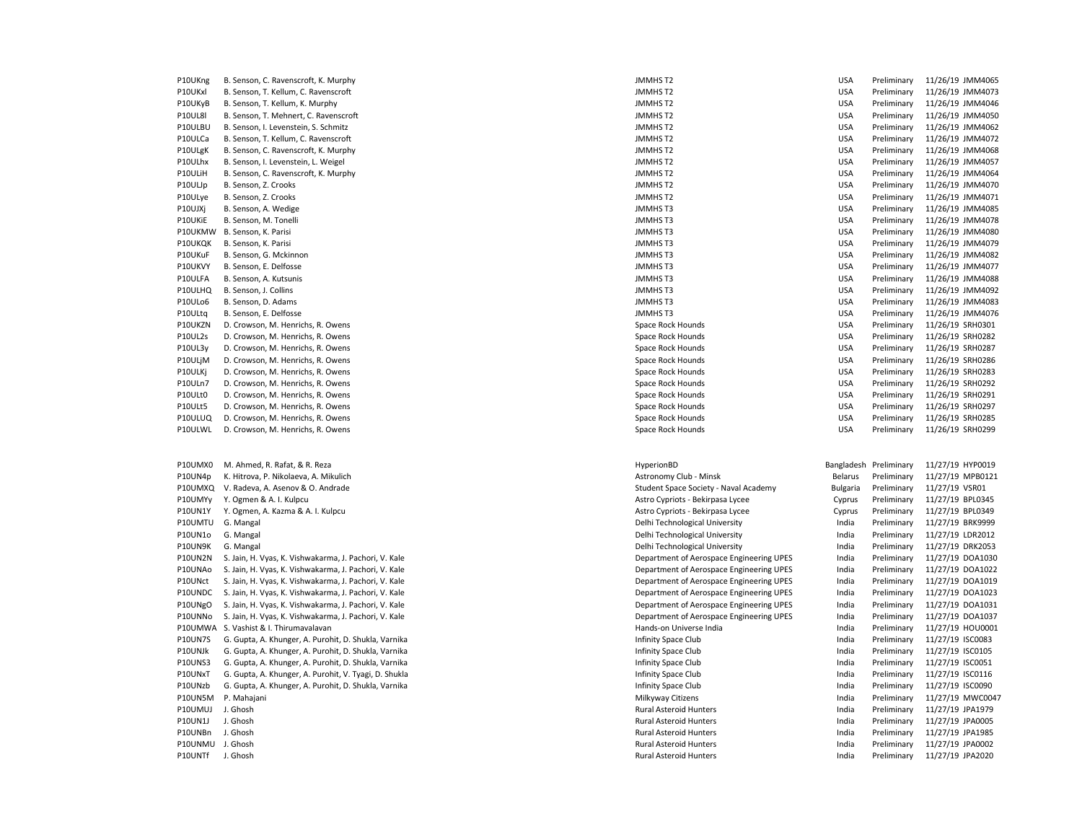| P10UKng        | B. Senson, C. Ravenscroft, K. Murphy               |
|----------------|----------------------------------------------------|
| P10UKxl        | B. Senson, T. Kellum, C. Ravenscroft               |
| P10UKyB        | B. Senson, T. Kellum, K. Murphy                    |
| P10UL8I        | B. Senson, T. Mehnert, C. Ravenscroft              |
| P10ULBU        | B. Senson, I. Levenstein, S. Schmitz               |
| P10ULCa        | B. Senson, T. Kellum, C. Ravenscroft               |
| P10ULgK        | B. Senson, C. Ravenscroft, K. Murphy               |
| P10ULhx        | B. Senson, I. Levenstein, L. Weigel                |
| P10ULiH        | B. Senson, C. Ravenscroft, K. Murphy               |
| P10ULJp        | B. Senson, Z. Crooks                               |
| P10ULye        | B. Senson, Z. Crooks                               |
| P10UJXj        | B. Senson, A. Wedige                               |
| P10UKiE        | B. Senson, M. Tonelli                              |
| P10UKMW        | B. Senson, K. Parisi                               |
| P10UKQK        | B. Senson, K. Parisi                               |
| P10UKuF        | B. Senson, G. Mckinnon                             |
| P10UKVY        | B. Senson, E. Delfosse                             |
| P10ULFA        | B. Senson, A. Kutsunis                             |
| P10ULHQ        | B. Senson, J. Collins                              |
| P10ULo6        | B. Senson, D. Adams                                |
| P10ULtq        | B. Senson, E. Delfosse                             |
| P10UKZN        | D. Crowson, M. Henrichs, R. Owens                  |
| P10UL2s        | D. Crowson, M. Henrichs, R. Owens                  |
| P10UL3y        | D. Crowson, M. Henrichs, R. Owens                  |
| P10ULjM        | D. Crowson, M. Henrichs, R. Owens                  |
| P10ULKj        | D. Crowson, M. Henrichs, R. Owens                  |
| P10ULn7        | D. Crowson, M. Henrichs, R. Owens                  |
| P10ULt0        | D. Crowson, M. Henrichs, R. Owens                  |
| P10ULt5        | D. Crowson, M. Henrichs, R. Owens                  |
| P10ULUQ        | D. Crowson, M. Henrichs, R. Owens                  |
| P10ULWL        | D. Crowson, M. Henrichs, R. Owens                  |
|                |                                                    |
|                |                                                    |
| P10UMX0        | M. Ahmed, R. Rafat, & R. Reza                      |
| P10UN4p        | K. Hitrova, P. Nikolaeva, A. Mikulich              |
| P10UMXQ        | V. Radeva, A. Asenov & O. Andrade                  |
| P10UMYy        | Y. Ogmen & A. I. Kulpcu                            |
| P10UN1Y        | Y. Ogmen, A. Kazma & A. I. Kulpcu                  |
| P10UMTU        | G. Mangal                                          |
| P10UN1o        | G. Mangal                                          |
| P10UN9K        | G. Mangal                                          |
| P10UN2N        | S. Jain, H. Vyas, K. Vishwakarma, J. Pachori, V. I |
| P10UNAo        | S. Jain, H. Vyas, K. Vishwakarma, J. Pachori, V. I |
| P10UNct        | S. Jain, H. Vyas, K. Vishwakarma, J. Pachori, V. I |
| P10UNDC        | S. Jain, H. Vyas, K. Vishwakarma, J. Pachori, V. I |
| P10UNgO        | S. Jain, H. Vyas, K. Vishwakarma, J. Pachori, V. I |
| P10UNNo        | S. Jain, H. Vyas, K. Vishwakarma, J. Pachori, V. I |
| P10UMWA        | S. Vashist & I. Thirumavalavan                     |
| <b>P10UN7S</b> | G. Gupta, A. Khunger, A. Purohit, D. Shukla, Var   |
| P10UNJk        | G. Gupta, A. Khunger, A. Purohit, D. Shukla, Var   |
| P10UNS3        | G. Gupta, A. Khunger, A. Purohit, D. Shukla, Var   |
| P10UNxT        | G. Gupta, A. Khunger, A. Purohit, V. Tyagi, D. Sł  |
| P10UNzb        | G. Gupta, A. Khunger, A. Purohit, D. Shukla, Var   |
| P10UN5M        | P. Mahajani                                        |
| P10UMUJ        | J. Ghosh                                           |
| <b>P10UN1J</b> | J. Ghosh                                           |
| P10UNBn        | J. Ghosh                                           |
| P10UNMU        | J. Ghosh                                           |
| P10UNTf        | J. Ghosh                                           |
|                |                                                    |

| P10UKng          | B. Senson, C. Ravenscroft, K. Murphy                  | <b>JMMHST2</b>                           | <b>USA</b>             | Preliminary | 11/26/19 JMM4065 |
|------------------|-------------------------------------------------------|------------------------------------------|------------------------|-------------|------------------|
| P10UKxl          | B. Senson, T. Kellum, C. Ravenscroft                  | JMMHS T2                                 | <b>USA</b>             | Preliminary | 11/26/19 JMM4073 |
| P10UKyB          | B. Senson, T. Kellum, K. Murphy                       | <b>JMMHST2</b>                           | <b>USA</b>             | Preliminary | 11/26/19 JMM4046 |
| <b>P10UL8I</b>   | B. Senson, T. Mehnert, C. Ravenscroft                 | <b>JMMHST2</b>                           | <b>USA</b>             | Preliminary | 11/26/19 JMM4050 |
| P10ULBU          | B. Senson, I. Levenstein, S. Schmitz                  | <b>JMMHST2</b>                           | <b>USA</b>             | Preliminary | 11/26/19 JMM4062 |
| P10ULCa          | B. Senson, T. Kellum, C. Ravenscroft                  | <b>JMMHST2</b>                           | <b>USA</b>             | Preliminary | 11/26/19 JMM4072 |
| P10ULgK          | B. Senson, C. Ravenscroft, K. Murphy                  | <b>JMMHST2</b>                           | <b>USA</b>             | Preliminary | 11/26/19 JMM4068 |
| P10ULhx          | B. Senson, I. Levenstein, L. Weigel                   | <b>JMMHST2</b>                           | <b>USA</b>             | Preliminary | 11/26/19 JMM4057 |
| P10ULiH          | B. Senson, C. Ravenscroft, K. Murphy                  | <b>JMMHST2</b>                           | <b>USA</b>             | Preliminary | 11/26/19 JMM4064 |
| P10ULJp          | B. Senson, Z. Crooks                                  | <b>JMMHST2</b>                           | <b>USA</b>             | Preliminary | 11/26/19 JMM4070 |
| P10ULye          | B. Senson, Z. Crooks                                  | <b>JMMHST2</b>                           | <b>USA</b>             | Preliminary | 11/26/19 JMM4071 |
| P10UJXj          | B. Senson, A. Wedige                                  | <b>JMMHST3</b>                           | <b>USA</b>             | Preliminary | 11/26/19 JMM4085 |
| P10UKiE          | B. Senson, M. Tonelli                                 | <b>JMMHST3</b>                           | <b>USA</b>             | Preliminary | 11/26/19 JMM4078 |
| P10UKMW          | B. Senson, K. Parisi                                  | <b>JMMHST3</b>                           | <b>USA</b>             | Preliminary | 11/26/19 JMM4080 |
| P10UKQK          | B. Senson, K. Parisi                                  | JMMHS T3                                 | <b>USA</b>             | Preliminary | 11/26/19 JMM4079 |
| P10UKuF          | B. Senson, G. Mckinnon                                | <b>JMMHST3</b>                           | <b>USA</b>             | Preliminary | 11/26/19 JMM4082 |
| P10UKVY          | B. Senson, E. Delfosse                                | <b>JMMHST3</b>                           | <b>USA</b>             | Preliminary | 11/26/19 JMM4077 |
|                  |                                                       |                                          |                        |             |                  |
| P10ULFA          | B. Senson, A. Kutsunis                                | <b>JMMHST3</b>                           | <b>USA</b>             | Preliminary | 11/26/19 JMM4088 |
| P10ULHQ          | B. Senson, J. Collins                                 | <b>JMMHST3</b>                           | <b>USA</b>             | Preliminary | 11/26/19 JMM4092 |
| P10ULo6          | B. Senson, D. Adams                                   | JMMHST3                                  | <b>USA</b>             | Preliminary | 11/26/19 JMM4083 |
| P10ULtq          | B. Senson, E. Delfosse                                | <b>JMMHST3</b>                           | <b>USA</b>             | Preliminary | 11/26/19 JMM4076 |
| P10UKZN          | D. Crowson, M. Henrichs, R. Owens                     | Space Rock Hounds                        | <b>USA</b>             | Preliminary | 11/26/19 SRH0301 |
| P10UL2s          | D. Crowson, M. Henrichs, R. Owens                     | Space Rock Hounds                        | <b>USA</b>             | Preliminary | 11/26/19 SRH0282 |
| P10UL3y          | D. Crowson, M. Henrichs, R. Owens                     | Space Rock Hounds                        | <b>USA</b>             | Preliminary | 11/26/19 SRH0287 |
| P10ULjM          | D. Crowson, M. Henrichs, R. Owens                     | Space Rock Hounds                        | <b>USA</b>             | Preliminary | 11/26/19 SRH0286 |
| P10ULKj          | D. Crowson, M. Henrichs, R. Owens                     | Space Rock Hounds                        | <b>USA</b>             | Preliminary | 11/26/19 SRH0283 |
| P10ULn7          | D. Crowson, M. Henrichs, R. Owens                     | Space Rock Hounds                        | <b>USA</b>             | Preliminary | 11/26/19 SRH0292 |
| P10ULt0          | D. Crowson, M. Henrichs, R. Owens                     | Space Rock Hounds                        | <b>USA</b>             | Preliminary | 11/26/19 SRH0291 |
| P10ULt5          | D. Crowson, M. Henrichs, R. Owens                     | Space Rock Hounds                        | <b>USA</b>             | Preliminary | 11/26/19 SRH0297 |
| P10ULUQ          | D. Crowson, M. Henrichs, R. Owens                     | Space Rock Hounds                        | <b>USA</b>             | Preliminary | 11/26/19 SRH0285 |
| P10ULWL          | D. Crowson, M. Henrichs, R. Owens                     | Space Rock Hounds                        | <b>USA</b>             | Preliminary | 11/26/19 SRH0299 |
| P10UMX0          | M. Ahmed, R. Rafat, & R. Reza                         | HyperionBD                               | Bangladesh Preliminary |             | 11/27/19 HYP0019 |
| P10UN4p          | K. Hitrova, P. Nikolaeva, A. Mikulich                 | Astronomy Club - Minsk                   | Belarus                | Preliminary | 11/27/19 MPB0121 |
| P10UMXQ          | V. Radeva, A. Asenov & O. Andrade                     | Student Space Society - Naval Academy    | <b>Bulgaria</b>        | Preliminary | 11/27/19 VSR01   |
| P10UMYy          | Y. Ogmen & A. I. Kulpcu                               | Astro Cypriots - Bekirpasa Lycee         | Cyprus                 | Preliminary | 11/27/19 BPL0345 |
| <b>P10UN1Y</b>   | Y. Ogmen, A. Kazma & A. I. Kulpcu                     | Astro Cypriots - Bekirpasa Lycee         | Cyprus                 | Preliminary | 11/27/19 BPL0349 |
| P10UMTU          | G. Mangal                                             | Delhi Technological University           | India                  | Preliminary | 11/27/19 BRK9999 |
| P10UN1o          | G. Mangal                                             | Delhi Technological University           | India                  | Preliminary | 11/27/19 LDR2012 |
| P10UN9K          | G. Mangal                                             | Delhi Technological University           | India                  | Preliminary | 11/27/19 DRK2053 |
| P10UN2N          | S. Jain, H. Vyas, K. Vishwakarma, J. Pachori, V. Kale | Department of Aerospace Engineering UPES | India                  | Preliminary | 11/27/19 DOA1030 |
| P10UNAo          | S. Jain, H. Vyas, K. Vishwakarma, J. Pachori, V. Kale | Department of Aerospace Engineering UPES | India                  | Preliminary | 11/27/19 DOA1022 |
| P10UNct          | S. Jain, H. Vyas, K. Vishwakarma, J. Pachori, V. Kale | Department of Aerospace Engineering UPES | India                  | Preliminary | 11/27/19 DOA1019 |
| P10UNDC          | S. Jain, H. Vyas, K. Vishwakarma, J. Pachori, V. Kale | Department of Aerospace Engineering UPES | India                  | Preliminary | 11/27/19 DOA1023 |
|                  |                                                       |                                          |                        |             |                  |
| P10UNgO          | S. Jain, H. Vyas, K. Vishwakarma, J. Pachori, V. Kale | Department of Aerospace Engineering UPES | India                  | Preliminary | 11/27/19 DOA1031 |
| P10UNNo          | S. Jain, H. Vyas, K. Vishwakarma, J. Pachori, V. Kale | Department of Aerospace Engineering UPES | India                  | Preliminary | 11/27/19 DOA1037 |
| P10UMWA          | S. Vashist & I. Thirumavalavan                        | Hands-on Universe India                  | India                  | Preliminary | 11/27/19 HOU0001 |
| <b>P10UN7S</b>   | G. Gupta, A. Khunger, A. Purohit, D. Shukla, Varnika  | Infinity Space Club                      | India                  | Preliminary | 11/27/19 ISC0083 |
| P10UNJk          | G. Gupta, A. Khunger, A. Purohit, D. Shukla, Varnika  | Infinity Space Club                      | India                  | Preliminary | 11/27/19 ISC0105 |
| P10UNS3          | G. Gupta, A. Khunger, A. Purohit, D. Shukla, Varnika  | Infinity Space Club                      | India                  | Preliminary | 11/27/19 ISC0051 |
| P10UNxT          | G. Gupta, A. Khunger, A. Purohit, V. Tyagi, D. Shukla | Infinity Space Club                      | India                  | Preliminary | 11/27/19 ISC0116 |
| P10UNzb          | G. Gupta, A. Khunger, A. Purohit, D. Shukla, Varnika  | Infinity Space Club                      | India                  | Preliminary | 11/27/19 ISC0090 |
| P10UN5M          | P. Mahajani                                           | Milkyway Citizens                        | India                  | Preliminary | 11/27/19 MWC0047 |
| P10UMUJ          | J. Ghosh                                              | <b>Rural Asteroid Hunters</b>            | India                  | Preliminary | 11/27/19 JPA1979 |
| <b>P10UN1J</b>   | J. Ghosh                                              | Rural Asteroid Hunters                   | India                  | Preliminary | 11/27/19 JPA0005 |
| P10UNBn          | J. Ghosh                                              | <b>Rural Asteroid Hunters</b>            | India                  | Preliminary | 11/27/19 JPA1985 |
| P10UNMU J. Ghosh |                                                       | Rural Asteroid Hunters                   | India                  | Preliminary | 11/27/19 JPA0002 |
| P10UNTf          | J. Ghosh                                              | <b>Rural Asteroid Hunters</b>            | India                  | Preliminary | 11/27/19 JPA2020 |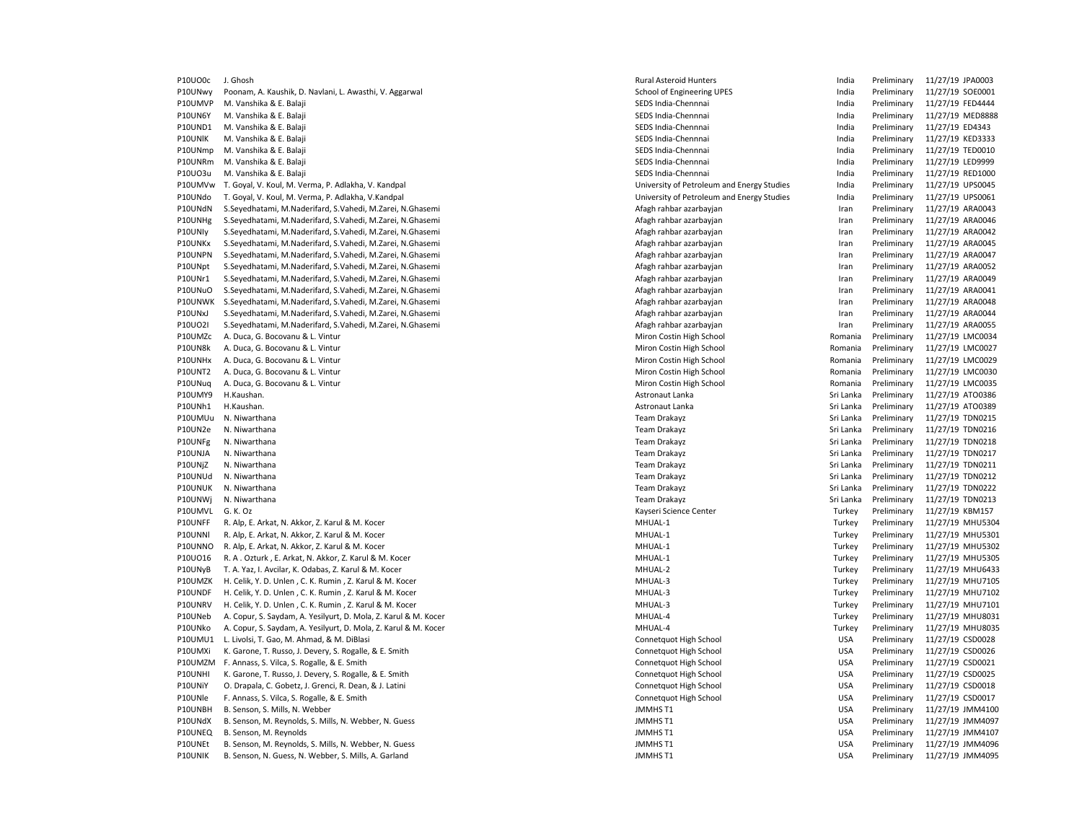P10UO0c J. Ghosh 11/27/19 JPA0003 Page 2012 12:00 12:00 Page 2012 12:00 Page 2012 12:00 Page 2012 12:00 Page 2013 12:00 Page 2013 12:00 Page 2013 12:00 Page 2013 12:00 Page 2013 12:00 Page 2013 12:00 Page 2013 12:00 Page 2 P10UNwy Poonam, A. Kaushik, D. Navlani, L. Awasthi, V. Aggarwal School of Engineering UPES Freliminary 11/27/19 SOE0001 P10UMVP M. Vanshika & E. Balaji Nambara Alikuwa mwaka wa sensa mwaka wa SEDS India-Chennnai Nambara nchi kutoka mwaka wa 11/27/19 FED4444 Marejeshi wa mwaka wa 11/27/19 FED4444 P10UN6Y M. Vanshika & E. Balaji Semboli Semboli Semboli SEDS India-Chennnai SEDS India-Chennnai New Semboli Semboli Semboli Semboli Semboli Semboli Semboli Semboli Semboli Semboli Semboli Semboli Semboli Semboli Semboli Se P10UND1 M. Vanshika & E. Balaji SEDS India-Chennnai India Preliminary 11/27/19 ED4343 P10UNlK M. Vanshika & E. Balaji Nambara india ambarana india kwa mtoni sendia-chennai india Preliminary 11/27/19 KED3333 P10UNmp M. Vanshika & E. Balaji Nambara aka kwa mwaka wa sensa mwaka wa SEDS India-Chennnai Nambara aka kwa mwaka wa 11/27/19 TED0010 P10UNRm M. Vanshika & E. Balaji Nama Marejesiya ya kuma mwaka wa shekara kwa mwaka wa Nama Marejesiya kwa mwaka wa 11/27/19 LED9999 Marejesiya wa Marejesiya wa Nama Marejesiya wa Marejesiya wa Marejesiya wa Marejesiya wa M P10UO3u M. Vanshika & E. Balaji SEDS Danim ambuu maana ka seeda saaraa seeda seeda seeda seeda ah seeda seeda seeda seeda seeda seeda seeda seeda seeda seeda seeda seeda seeda seeda seeda seeda seeda seeda seeda seeda seed P10UMVw T. Goyal, V. Koul, M. Verma, P. Adlakha, V. Kandpal National University of Petroleum and Energy Studies India Preliminary 11/27/19 UPS0045 P10UNdo T. Goyal, V. Koul, M. Verma, P. Adlakha, V.Kandpal University of Petroleum and Energy Studies India Preliminary 11/27/19 UPS0061 P10UNdN S.Seyedhatami, M.Naderifard, S.Vahedi, M.Zarei, N.Ghasemi Arabar azarbayin Afagh rahbar azarbayjan and arabayin Iran Preliminary 11/27/19 ARA0043 P10UNHg S.Sevedhatami, M.Naderifard, S.Vahedi, M.Zarei, N.Ghasemi Arabar and Afagh rahbar azarbayian azarbayian Iran Preliminary 11/27/19 ARA0046 P10UNIv S.Sevedhatami, M.Naderifard, S.Vahedi, M.Zarei, N.Ghasemi Afagh rahbar azarbayian Preliminary 11/27/19 ARA0042 P10UNKx S.Seyedhatami, M.Naderifard, S.Vahedi, M.Zarei, N.Ghasemi Arabar azarbayian Afagh rahbar azarbayjan and Preliminary 11/27/19 ARA0045 P10UNPN S.Seyedhatami, M.Naderifard, S.Vahedi, M.Zarei, N.Ghasemi American Afagh rahbar azarbayjan Manus azarbayjan Manus Preliminary 11/27/19 ARA0047 P10UNpt S.Seyedhatami, M.Naderifard, S.Vahedi, M.Zarei, N.Ghasemi Afagh rahbar azarbayjan Afagh rahbar azarbayjan ambar azarbayjan Iran Preliminary 11/27/19 ARA0052 P10UNr1 S.Seyedhatami, M.Naderifard, S.Vahedi, M.Zarei, N.Ghasemi Afagh rahbar azarbayjan Iran Preliminary 11/27/19 ARA0049 P10UNuO S.Sevedhatami, M.Naderifard, S.Vahedi, M.Zarei, N.Ghasemi Afagh rahbar azarbayian Afagh rahbar azarbayian Preliminary 11/27/19 ARA0041 P10UNWK S.Seyedhatami, M.Naderifard, S.Vahedi, M.Zarei, N.Ghasemi Afagh rahbar azarbayian Afagh rahbar azarbayjan Preliminary 11/27/19 ARA0048 P10UNxJ S.Seyedhatami, M.Naderifard, S.Vahedi, M.Zarei, N.Ghasemi Afagh rahbar azarbayian Afagh rahbar azarbayjan and Preliminary 11/27/19 ARA0044 P10UO2I S.Seyedhatami, M.Naderifard, S.Vahedi, M.Zarei, N.Ghasemi American Afagh rahbar azarbayjan Afagh rahbar azarbayjan american Preliminary 11/27/19 ARA0055 P10UMZc A. Duca, G. Bocovanu & L. Vintur Costin Miron Costin High School Miron Costin High School Romania Preliminary 11/27/19 LMC0034 P10UN8k A. Duca, G. Bocovanu & L. Vintur Costin Miron Costin High School Miron Costin High School Romania Preliminary 11/27/19 LMC0027 P10UNHx A. Duca. G. Bocovanu & L. Vintur Costa Costin Miron Costin High School Romania Preliminary 11/27/19 LMC0029 P10UNT2 A. Duca, G. Bocovanu & L. Vintur Costin Miron Costin High School Miron Costin High School Romania Preliminary 11/27/19 LMC0030 P10UNuq A. Duca, G. Bocovanu & L. Vintur Nicorocova Costin High School Miron Costin High School Romania Preliminary 11/27/19 LMC0035 P10UMY9 H.Kaushan. Astronaut Lanka Sri Lanka Preliminary 11/27/19 ATO0386 P10UNh1 H.Kaushan. Astronaut Lanka Sri Lanka Preliminary 11/27/19 ATO0389 P10UMUu N. Niwarthana Team Drakayz Sri Lanka Preliminary 11/27/19 TDN0215 P10UN2e N. Niwarthana Team Drakayz Sri Lanka Preliminary 11/27/19 TDN0216 P10UNFg N. Niwarthana Team Drakayz Sri Lanka Preliminary 11/27/19 TDN0218 P10UNJA N. Niwarthana Team Drakayz Sri Lanka Preliminary 11/27/19 TDN0217 P10UNjZ N. Niwarthana Team Drakayz Sri Lanka Preliminary 11/27/19 TDN0211 P10UNUd N. Niwarthana Team Drakayz Sri Lanka Preliminary 11/27/19 TDN0212 P10UNUK N. Niwarthana Team Drakayz Sri Lanka Preliminary 11/27/19 TDN0222 P10UNWj N. Niwarthana Team Drakayz Sri Lanka Preliminary 11/27/19 TDN0213 P10UMVL G. K. Oz **Kayseri Science Center** Turkey Preliminary 11/27/19 KBM157 P10UNFF R. Alp, E. Arkat, N. Akkor, Z. Karul & M. Kocer MHUAL-1 MHUAL-1 MHUAL-1 Turkey Preliminary 11/27/19 MHU5304 P10UNNl R. Alp, E. Arkat, N. Akkor, Z. Karul & M. Kocer MHUAL-1 MHUAL-1 MHUAL-1 Turkey Preliminary 11/27/19 MHU5301 P10UNNO R. Alp, E. Arkat, N. Akkor, Z. Karul & M. Kocer MHUAL-1 MHUAL-1 MHUAL-1 Turkey Preliminary 11/27/19 MHU5302 P10UO16 R. A . Ozturk , E. Arkat, N. Akkor, Z. Karul & M. Kocer MHUAL-1 MHUAL-1 Turkey Preliminary 11/27/19 MHU5305 P10UNyB T. A. Yaz, I. Avcilar, K. Odabas, Z. Karul & M. Kocer MHUAL-2 MHUAL-2 MHUAL-2 Turkey Preliminary 11/27/19 MHU6433 P10UMZK H. Celik, Y. D. Unlen , C. K. Rumin , Z. Karul & M. Kocer New Yorkey Register of the State of the State American MHUAL-3 Turkey Preliminary 11/27/19 MHU7105 (1997) 19 MHU7105 (1997) 1998 11/27/19 MHU7102 11/27/19 M P10UNDF H. Celik, Y. D. Unlen , C. K. Rumin , Z. Karul & M. Kocer MHUAL-3 MHUAL-3 Turkey Preliminary 11/27/19 MHU7102 P10UNRV H. Celik, Y. D. Unlen , C. K. Rumin , Z. Karul & M. Kocer MHUAL-3 MHUAL-3 Turkey Preliminary 11/27/19 MHU7101 P10UNeb A. Copur, S. Saydam, A. Yesilyurt, D. Mola, Z. Karul & M. Kocer MEAL MOLANDAREY PRELIMINAREY PRELIMINA<br>P10UNko A. Copur. S. Saydam. A. Yesilyurt. D. Mola. Z. Karul & M. Kocer MHUAL-4 MHUAL-4 MHUAL-4 Turkey Prelimin P10UNko A. Copur, S. Saydam, A. Yesilyurt, D. Mola, Z. Karul & M. Kocer MHUAL-4 MHUAL-4 Turkey Preliminary 11/27/19 MHU8035 P10UMU1 L. Livolsi, T. Gao, M. Ahmad, & M. DiBlasi Computation Connet Connet and High School Connet and High School Connet USA Preliminary 11/27/19 CSD0028 P10UMXi K. Garone, T. Russo, J. Devery, S. Rogalle, & E. Smith Company Connetquot High School Connetquot High School USA Preliminary 11/27/19 CSD0026 P10UMZM F. Annass, S. Vilca, S. Rogalle, & E. Smith Connective Connect Connect USA Preliminary 11/27/19 CSD0021 P10UNHI K. Garone, T. Russo, J. Devery, S. Rogalle, & E. Smith Company Connetquot High School Connetguot High School USA Preliminary 11/27/19 CSD0025 P10UNiY O. Drapala, C. Gobetz, J. Grenci, R. Dean, & J. Latini Computer Connetquot High School Connetquot High School USA Preliminary 11/27/19 CSD0018 P10UNle F. Annass, S. Vilca, S. Rogalle, & E. Smith Connected and School Connect uncluded a later and the School Connected USA Preliminary 11/27/19 CSD0017 P10UNBH B. Senson, S. Mills, N. Webber JMMHS T1 USA Preliminary 11/27/19 JMM4100 P10UNdX B. Senson, M. Reynolds, S. Mills, N. Webber, N. Guess States Material Company of Multimary 11/27/19 JMM4097 P10UNEQ B. Senson, M. Reynolds JMMHS T1 USA Preliminary 11/27/19 JMM4107 P10UNEt B. Senson, M. Reynolds, S. Mills, N. Webber, N. Guess States Manual Company States Manual Company 11/27/19 JMM4096 P10UNIK B. Senson, N. Guess, N. Webber, S. Mills, A. Garland Joseph Material Christian Music and Music Preliminary 11/27/19 JMM4095